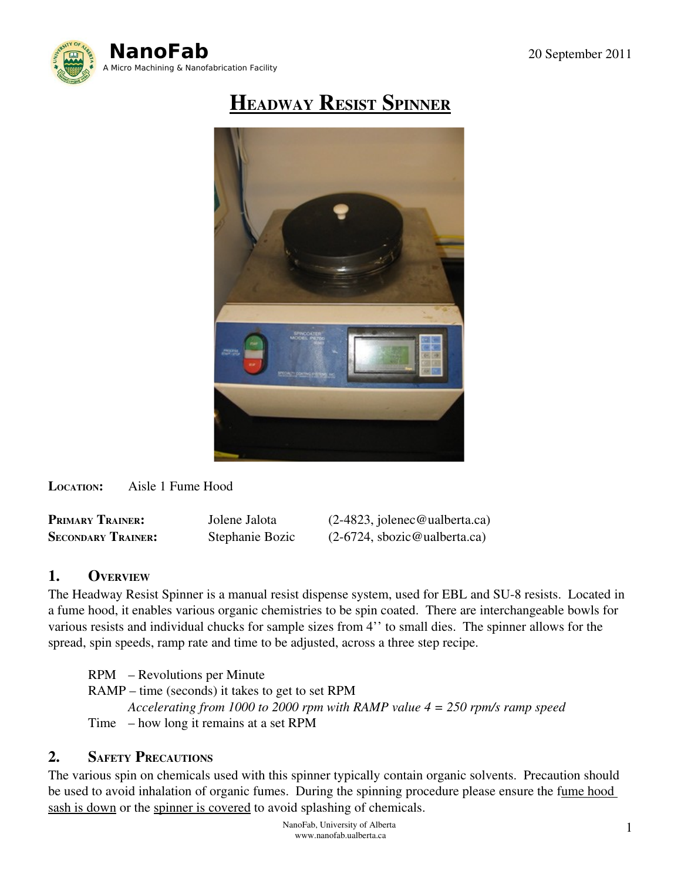

# HEADWAY RESIST SPINNER



LOCATION: Aisle 1 Fume Hood

PRIMARY TRAINER: Jolene Jalota (2-4823, jolenec@ualberta.ca)

SECONDARY TRAINER: Stephanie Bozic (2-6724, sbozic@ualberta.ca)

# 1. OVERVIEW

The Headway Resist Spinner is a manual resist dispense system, used for EBL and SU-8 resists. Located in a fume hood, it enables various organic chemistries to be spin coated. There are interchangeable bowls for various resists and individual chucks for sample sizes from 4'' to small dies. The spinner allows for the spread, spin speeds, ramp rate and time to be adjusted, across a three step recipe.

RPM – Revolutions per Minute RAMP – time (seconds) it takes to get to set RPM *Accelerating from 1000 to 2000 rpm with RAMP value 4 = 250 rpm/s ramp speed* Time – how long it remains at a set RPM

# 2. SAFETY PRECAUTIONS

The various spin on chemicals used with this spinner typically contain organic solvents. Precaution should be used to avoid inhalation of organic fumes. During the spinning procedure please ensure the fume hood sash is down or the spinner is covered to avoid splashing of chemicals.